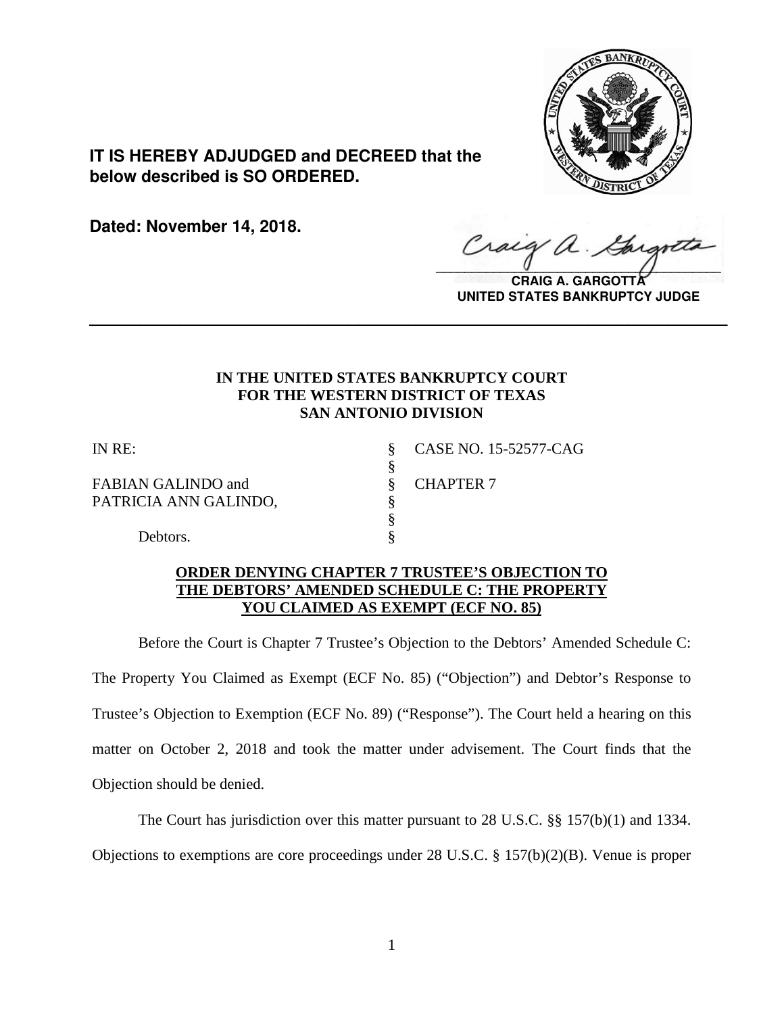

**IT IS HEREBY ADJUDGED and DECREED that the below described is SO ORDERED.**

**Dated: November 14, 2018.**

Craig  $\sqrt{2}$ 

**CRAIG A. GARGOTTA UNITED STATES BANKRUPTCY JUDGE**

# **IN THE UNITED STATES BANKRUPTCY COURT FOR THE WESTERN DISTRICT OF TEXAS SAN ANTONIO DIVISION**

**\_\_\_\_\_\_\_\_\_\_\_\_\_\_\_\_\_\_\_\_\_\_\_\_\_\_\_\_\_\_\_\_\_\_\_\_\_\_\_\_\_\_\_\_\_\_\_\_\_\_\_\_\_\_\_\_\_\_\_\_\_\_\_\_**

§

FABIAN GALINDO and  $\qquad \qquad$  CHAPTER 7 PATRICIA ANN GALINDO, §

IN RE: § CASE NO. 15-52577-CAG

 § Debtors.

# **ORDER DENYING CHAPTER 7 TRUSTEE'S OBJECTION TO THE DEBTORS' AMENDED SCHEDULE C: THE PROPERTY YOU CLAIMED AS EXEMPT (ECF NO. 85)**

Before the Court is Chapter 7 Trustee's Objection to the Debtors' Amended Schedule C: The Property You Claimed as Exempt (ECF No. 85) ("Objection") and Debtor's Response to Trustee's Objection to Exemption (ECF No. 89) ("Response"). The Court held a hearing on this matter on October 2, 2018 and took the matter under advisement. The Court finds that the Objection should be denied.

The Court has jurisdiction over this matter pursuant to 28 U.S.C. §§ 157(b)(1) and 1334. Objections to exemptions are core proceedings under 28 U.S.C. § 157(b)(2)(B). Venue is proper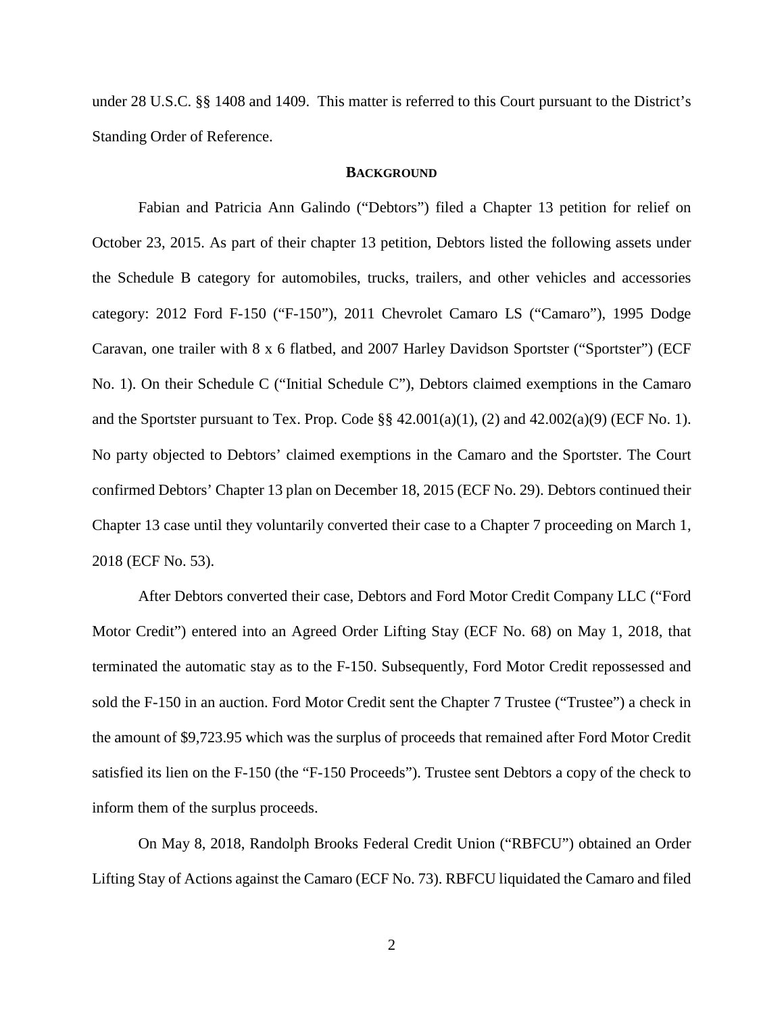under 28 U.S.C. §§ 1408 and 1409. This matter is referred to this Court pursuant to the District's Standing Order of Reference.

#### **BACKGROUND**

Fabian and Patricia Ann Galindo ("Debtors") filed a Chapter 13 petition for relief on October 23, 2015. As part of their chapter 13 petition, Debtors listed the following assets under the Schedule B category for automobiles, trucks, trailers, and other vehicles and accessories category: 2012 Ford F-150 ("F-150"), 2011 Chevrolet Camaro LS ("Camaro"), 1995 Dodge Caravan, one trailer with 8 x 6 flatbed, and 2007 Harley Davidson Sportster ("Sportster") (ECF No. 1). On their Schedule C ("Initial Schedule C"), Debtors claimed exemptions in the Camaro and the Sportster pursuant to Tex. Prop. Code  $\S$  42.001(a)(1), (2) and 42.002(a)(9) (ECF No. 1). No party objected to Debtors' claimed exemptions in the Camaro and the Sportster. The Court confirmed Debtors' Chapter 13 plan on December 18, 2015 (ECF No. 29). Debtors continued their Chapter 13 case until they voluntarily converted their case to a Chapter 7 proceeding on March 1, 2018 (ECF No. 53).

After Debtors converted their case, Debtors and Ford Motor Credit Company LLC ("Ford Motor Credit") entered into an Agreed Order Lifting Stay (ECF No. 68) on May 1, 2018, that terminated the automatic stay as to the F-150. Subsequently, Ford Motor Credit repossessed and sold the F-150 in an auction. Ford Motor Credit sent the Chapter 7 Trustee ("Trustee") a check in the amount of \$9,723.95 which was the surplus of proceeds that remained after Ford Motor Credit satisfied its lien on the F-150 (the "F-150 Proceeds"). Trustee sent Debtors a copy of the check to inform them of the surplus proceeds.

On May 8, 2018, Randolph Brooks Federal Credit Union ("RBFCU") obtained an Order Lifting Stay of Actions against the Camaro (ECF No. 73). RBFCU liquidated the Camaro and filed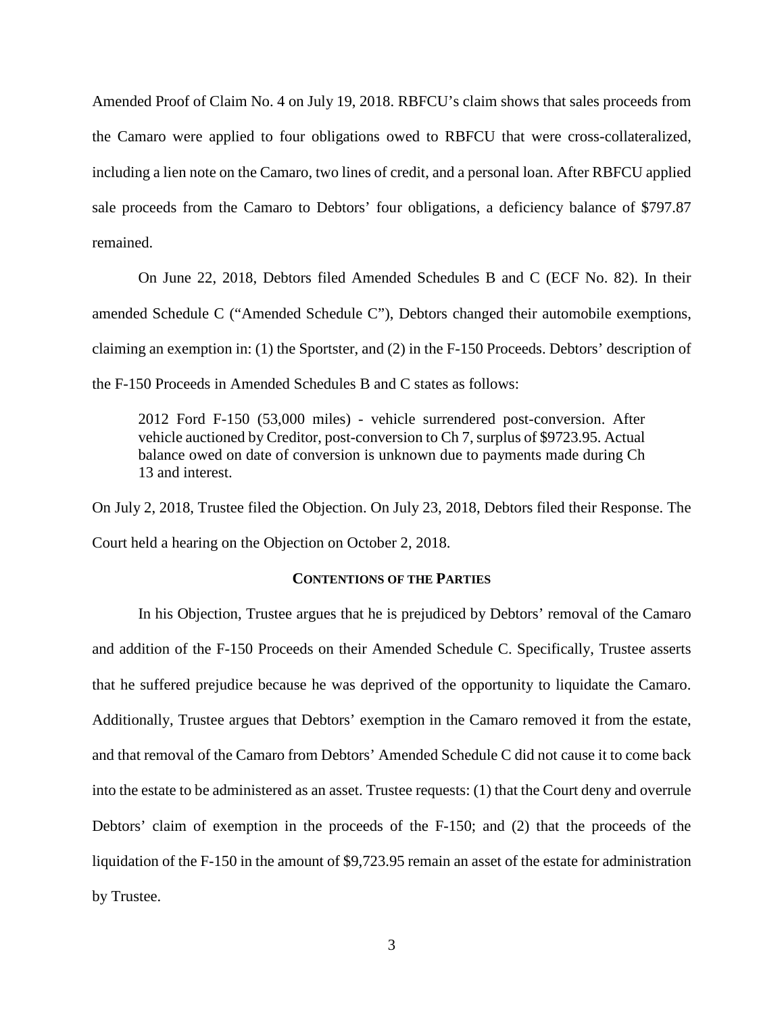Amended Proof of Claim No. 4 on July 19, 2018. RBFCU's claim shows that sales proceeds from the Camaro were applied to four obligations owed to RBFCU that were cross-collateralized, including a lien note on the Camaro, two lines of credit, and a personal loan. After RBFCU applied sale proceeds from the Camaro to Debtors' four obligations, a deficiency balance of \$797.87 remained.

On June 22, 2018, Debtors filed Amended Schedules B and C (ECF No. 82). In their amended Schedule C ("Amended Schedule C"), Debtors changed their automobile exemptions, claiming an exemption in: (1) the Sportster, and (2) in the F-150 Proceeds. Debtors' description of the F-150 Proceeds in Amended Schedules B and C states as follows:

2012 Ford F-150 (53,000 miles) - vehicle surrendered post-conversion. After vehicle auctioned by Creditor, post-conversion to Ch 7, surplus of \$9723.95. Actual balance owed on date of conversion is unknown due to payments made during Ch 13 and interest.

On July 2, 2018, Trustee filed the Objection. On July 23, 2018, Debtors filed their Response. The Court held a hearing on the Objection on October 2, 2018.

### **CONTENTIONS OF THE PARTIES**

In his Objection, Trustee argues that he is prejudiced by Debtors' removal of the Camaro and addition of the F-150 Proceeds on their Amended Schedule C. Specifically, Trustee asserts that he suffered prejudice because he was deprived of the opportunity to liquidate the Camaro. Additionally, Trustee argues that Debtors' exemption in the Camaro removed it from the estate, and that removal of the Camaro from Debtors' Amended Schedule C did not cause it to come back into the estate to be administered as an asset. Trustee requests: (1) that the Court deny and overrule Debtors' claim of exemption in the proceeds of the F-150; and (2) that the proceeds of the liquidation of the F-150 in the amount of \$9,723.95 remain an asset of the estate for administration by Trustee.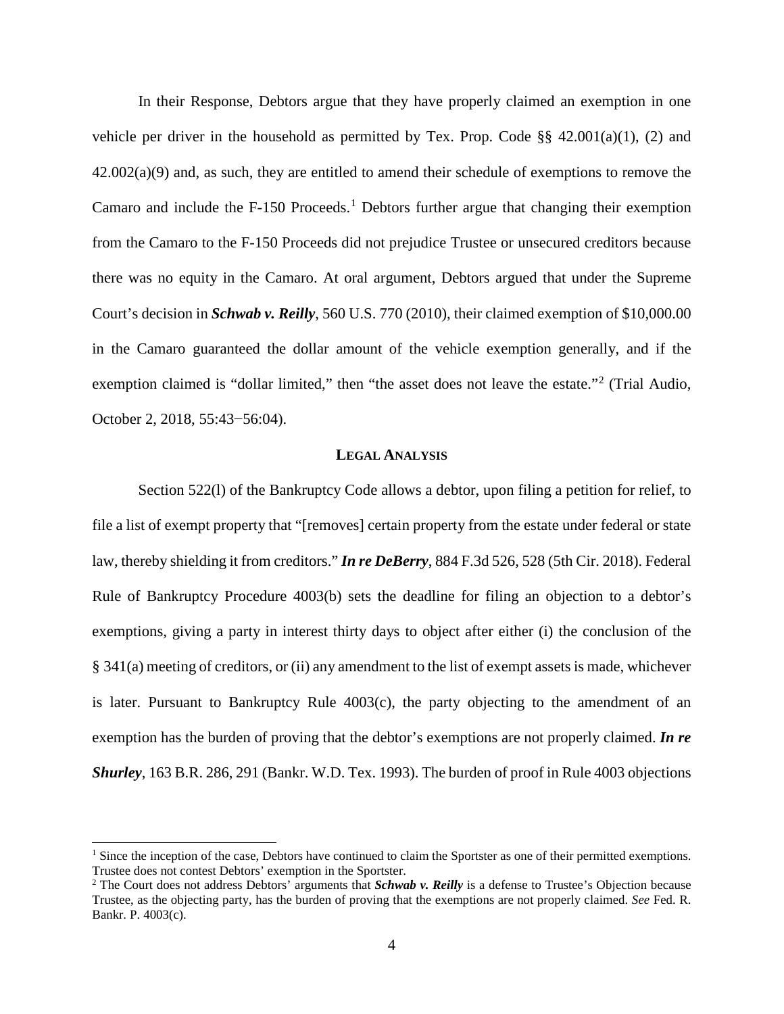In their Response, Debtors argue that they have properly claimed an exemption in one vehicle per driver in the household as permitted by Tex. Prop. Code  $\S$ § 42.001(a)(1), (2) and  $42.002(a)(9)$  and, as such, they are entitled to amend their schedule of exemptions to remove the Camaro and include the  $F-150$  $F-150$  $F-150$  Proceeds.<sup>1</sup> Debtors further argue that changing their exemption from the Camaro to the F-150 Proceeds did not prejudice Trustee or unsecured creditors because there was no equity in the Camaro. At oral argument, Debtors argued that under the Supreme Court's decision in *Schwab v. Reilly*, 560 U.S. 770 (2010), their claimed exemption of \$10,000.00 in the Camaro guaranteed the dollar amount of the vehicle exemption generally, and if the exemption claimed is "dollar limited," then "the asset does not leave the estate."<sup>[2](#page-3-1)</sup> (Trial Audio, October 2, 2018, 55:43−56:04).

### **LEGAL ANALYSIS**

Section 522(l) of the Bankruptcy Code allows a debtor, upon filing a petition for relief, to file a list of exempt property that "[removes] certain property from the estate under federal or state law, thereby shielding it from creditors." *In re DeBerry*, 884 F.3d 526, 528 (5th Cir. 2018). Federal Rule of Bankruptcy Procedure 4003(b) sets the deadline for filing an objection to a debtor's exemptions, giving a party in interest thirty days to object after either (i) the conclusion of the § 341(a) meeting of creditors, or (ii) any amendment to the list of exempt assets is made, whichever is later. Pursuant to Bankruptcy Rule 4003(c), the party objecting to the amendment of an exemption has the burden of proving that the debtor's exemptions are not properly claimed. *In re Shurley*, 163 B.R. 286, 291 (Bankr. W.D. Tex. 1993). The burden of proof in Rule 4003 objections

<span id="page-3-0"></span><sup>&</sup>lt;sup>1</sup> Since the inception of the case, Debtors have continued to claim the Sportster as one of their permitted exemptions. Trustee does not contest Debtors' exemption in the Sportster.<br><sup>2</sup> The Court does not address Debtors' arguments that *Schwab v. Reilly* is a defense to Trustee's Objection because

<span id="page-3-1"></span>Trustee, as the objecting party, has the burden of proving that the exemptions are not properly claimed. *See* Fed. R. Bankr. P. 4003(c).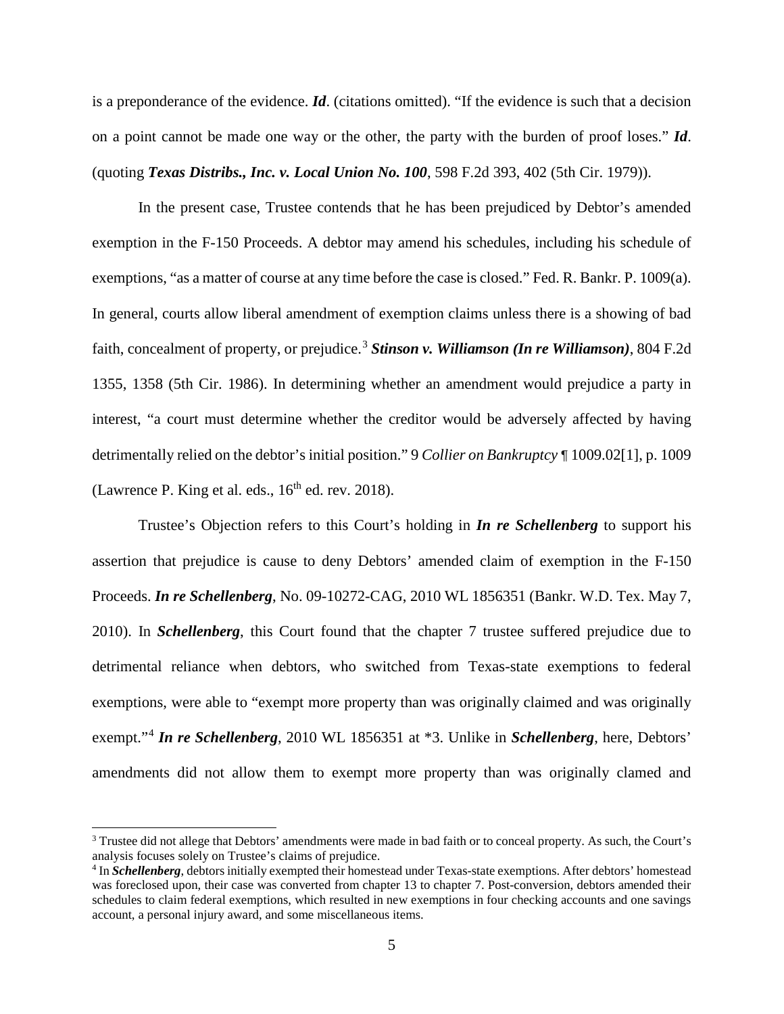is a preponderance of the evidence. *Id*. (citations omitted). "If the evidence is such that a decision on a point cannot be made one way or the other, the party with the burden of proof loses." *Id*. (quoting *Texas Distribs., Inc. v. Local Union No. 100*, 598 F.2d 393, 402 (5th Cir. 1979)).

In the present case, Trustee contends that he has been prejudiced by Debtor's amended exemption in the F-150 Proceeds. A debtor may amend his schedules, including his schedule of exemptions, "as a matter of course at any time before the case is closed." Fed. R. Bankr. P. 1009(a). In general, courts allow liberal amendment of exemption claims unless there is a showing of bad faith, concealment of property, or prejudice. [3](#page-4-0) *Stinson v. Williamson (In re Williamson)*, 804 F.2d 1355, 1358 (5th Cir. 1986). In determining whether an amendment would prejudice a party in interest, "a court must determine whether the creditor would be adversely affected by having detrimentally relied on the debtor's initial position." 9 *Collier on Bankruptcy* ¶ 1009.02[1], p. 1009 (Lawrence P. King et al. eds.,  $16<sup>th</sup>$  ed. rev. 2018).

Trustee's Objection refers to this Court's holding in *In re Schellenberg* to support his assertion that prejudice is cause to deny Debtors' amended claim of exemption in the F-150 Proceeds. *In re Schellenberg*, No. 09-10272-CAG, 2010 WL 1856351 (Bankr. W.D. Tex. May 7, 2010). In *Schellenberg*, this Court found that the chapter 7 trustee suffered prejudice due to detrimental reliance when debtors, who switched from Texas-state exemptions to federal exemptions, were able to "exempt more property than was originally claimed and was originally exempt."[4](#page-4-1) *In re Schellenberg*, 2010 WL 1856351 at \*3. Unlike in *Schellenberg*, here, Debtors' amendments did not allow them to exempt more property than was originally clamed and

<span id="page-4-0"></span><sup>&</sup>lt;sup>3</sup> Trustee did not allege that Debtors' amendments were made in bad faith or to conceal property. As such, the Court's analysis focuses solely on Trustee's claims of prejudice.

<span id="page-4-1"></span><sup>4</sup> In *Schellenberg*, debtors initially exempted their homestead under Texas-state exemptions. After debtors' homestead was foreclosed upon, their case was converted from chapter 13 to chapter 7. Post-conversion, debtors amended their schedules to claim federal exemptions, which resulted in new exemptions in four checking accounts and one savings account, a personal injury award, and some miscellaneous items.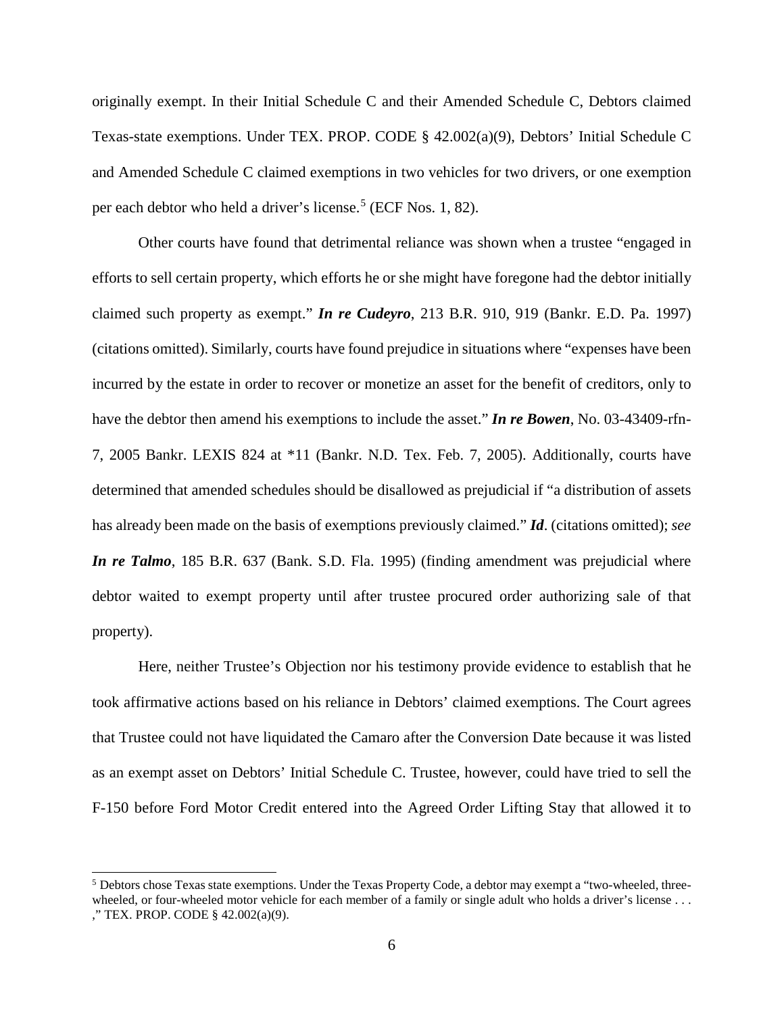originally exempt. In their Initial Schedule C and their Amended Schedule C, Debtors claimed Texas-state exemptions. Under TEX. PROP. CODE § 42.002(a)(9), Debtors' Initial Schedule C and Amended Schedule C claimed exemptions in two vehicles for two drivers, or one exemption per each debtor who held a driver's license. [5](#page-5-0) (ECF Nos. 1, 82).

Other courts have found that detrimental reliance was shown when a trustee "engaged in efforts to sell certain property, which efforts he or she might have foregone had the debtor initially claimed such property as exempt." *In re Cudeyro*, 213 B.R. 910, 919 (Bankr. E.D. Pa. 1997) (citations omitted). Similarly, courts have found prejudice in situations where "expenses have been incurred by the estate in order to recover or monetize an asset for the benefit of creditors, only to have the debtor then amend his exemptions to include the asset." *In re Bowen*, No. 03-43409-rfn-7, 2005 Bankr. LEXIS 824 at \*11 (Bankr. N.D. Tex. Feb. 7, 2005). Additionally, courts have determined that amended schedules should be disallowed as prejudicial if "a distribution of assets has already been made on the basis of exemptions previously claimed." *Id*. (citations omitted); *see In re Talmo*, 185 B.R. 637 (Bank. S.D. Fla. 1995) (finding amendment was prejudicial where debtor waited to exempt property until after trustee procured order authorizing sale of that property).

Here, neither Trustee's Objection nor his testimony provide evidence to establish that he took affirmative actions based on his reliance in Debtors' claimed exemptions. The Court agrees that Trustee could not have liquidated the Camaro after the Conversion Date because it was listed as an exempt asset on Debtors' Initial Schedule C. Trustee, however, could have tried to sell the F-150 before Ford Motor Credit entered into the Agreed Order Lifting Stay that allowed it to

<span id="page-5-0"></span> <sup>5</sup> Debtors chose Texas state exemptions. Under the Texas Property Code, a debtor may exempt a "two-wheeled, threewheeled, or four-wheeled motor vehicle for each member of a family or single adult who holds a driver's license . . . ," TEX. PROP. CODE § 42.002(a)(9).